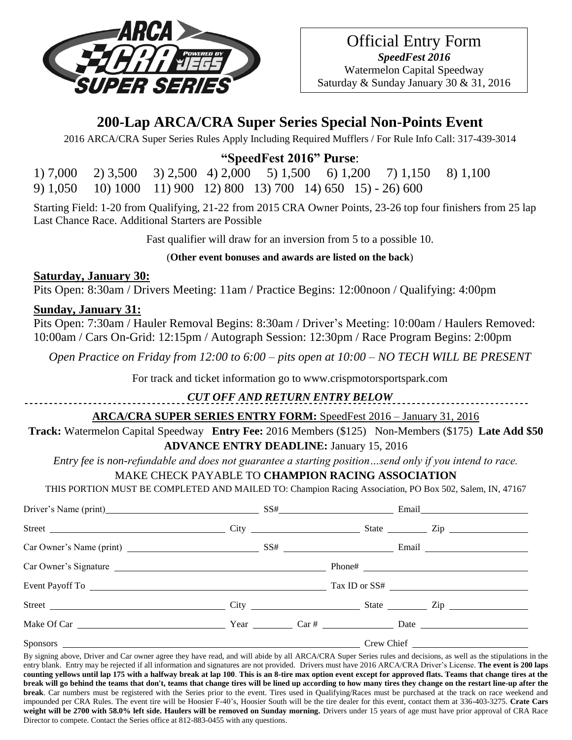

# **200-Lap ARCA/CRA Super Series Special Non-Points Event**

2016 ARCA/CRA Super Series Rules Apply Including Required Mufflers / For Rule Info Call: 317-439-3014

## **"SpeedFest 2016" Purse**:

1) 7,000 2) 3,500 3) 2,500 4) 2,000 5) 1,500 6) 1,200 7) 1,150 8) 1,100 9) 1,050 10) 1000 11) 900 12) 800 13) 700 14) 650 15) - 26) 600

Starting Field: 1-20 from Qualifying, 21-22 from 2015 CRA Owner Points, 23-26 top four finishers from 25 lap Last Chance Race. Additional Starters are Possible

Fast qualifier will draw for an inversion from 5 to a possible 10.

#### (**Other event bonuses and awards are listed on the back**)

#### **Saturday, January 30:**

Pits Open: 8:30am / Drivers Meeting: 11am / Practice Begins: 12:00noon / Qualifying: 4:00pm

#### **Sunday, January 31:**

Pits Open: 7:30am / Hauler Removal Begins: 8:30am / Driver's Meeting: 10:00am / Haulers Removed: 10:00am / Cars On-Grid: 12:15pm / Autograph Session: 12:30pm / Race Program Begins: 2:00pm

*Open Practice on Friday from 12:00 to 6:00 – pits open at 10:00 – NO TECH WILL BE PRESENT*

For track and ticket information go to www.crispmotorsportspark.com

### *CUT OFF AND RETURN ENTRY BELOW*

### **ARCA/CRA SUPER SERIES ENTRY FORM:** SpeedFest 2016 – January 31, 2016

**Track:** Watermelon Capital Speedway **Entry Fee:** 2016 Members (\$125) Non-Members (\$175) **Late Add \$50 ADVANCE ENTRY DEADLINE:** January 15, 2016

*Entry fee is non-refundable and does not guarantee a starting position…send only if you intend to race.*

### MAKE CHECK PAYABLE TO **CHAMPION RACING ASSOCIATION**

THIS PORTION MUST BE COMPLETED AND MAILED TO: Champion Racing Association, PO Box 502, Salem, IN, 47167

| Driver's Name (print) SS# Email Email |  |  |  |  |  |  |
|---------------------------------------|--|--|--|--|--|--|
|                                       |  |  |  |  |  |  |
|                                       |  |  |  |  |  |  |
|                                       |  |  |  |  |  |  |
|                                       |  |  |  |  |  |  |
|                                       |  |  |  |  |  |  |
|                                       |  |  |  |  |  |  |
|                                       |  |  |  |  |  |  |

By signing above, Driver and Car owner agree they have read, and will abide by all ARCA/CRA Super Series rules and decisions, as well as the stipulations in the entry blank. Entry may be rejected if all information and signatures are not provided. Drivers must have 2016 ARCA/CRA Driver's License. **The event is 200 laps counting yellows until lap 175 with a halfway break at lap 100**. **This is an 8-tire max option event except for approved flats. Teams that change tires at the break will go behind the teams that don't, teams that change tires will be lined up according to how many tires they change on the restart line-up after the break**. Car numbers must be registered with the Series prior to the event. Tires used in Qualifying/Races must be purchased at the track on race weekend and impounded per CRA Rules. The event tire will be Hoosier F-40's, Hoosier South will be the tire dealer for this event, contact them at 336-403-3275. **Crate Cars weight will be 2700 with 58.0% left side. Haulers will be removed on Sunday morning.** Drivers under 15 years of age must have prior approval of CRA Race Director to compete. Contact the Series office at 812-883-0455 with any questions.